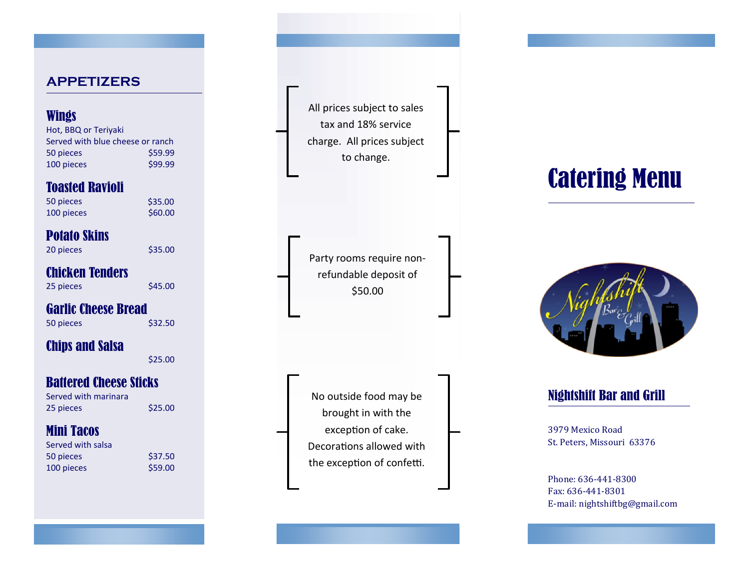#### **APPETIZERS**

#### **Wings**

Hot, BBQ or Teriyaki Served with blue cheese or ranch 50 pieces \$59.99 100 pieces \$99.99

#### Toasted Ravioli

| 50 pieces  | \$35.00 |
|------------|---------|
| 100 pieces | \$60.00 |

# Potato Skins

20 pieces \$35.00

#### Chicken Tenders

25 pieces \$45.00

# Garlic Cheese Bread

50 pieces \$32.50

# Chips and Salsa

\$25.00

# Battered Cheese Sticks

Served with marinara 25 pieces \$25.00

# Mini Tacos

| \$37.50 |
|---------|
| \$59.00 |
|         |

All prices subject to sales tax and 18% service charge. All prices subject to change.

Party rooms require non refundable deposit of \$50.00

No outside food may be brought in with the exception of cake. Decorations allowed with the exception of confetti.

# Catering Menu



# Nightshift Bar and Grill

3979 Mexico Road St. Peters, Missouri 63376

Phone: 636 -441 -8300 Fax: 636 -441 -8301 E -mail: nightshiftbg@gmail.com